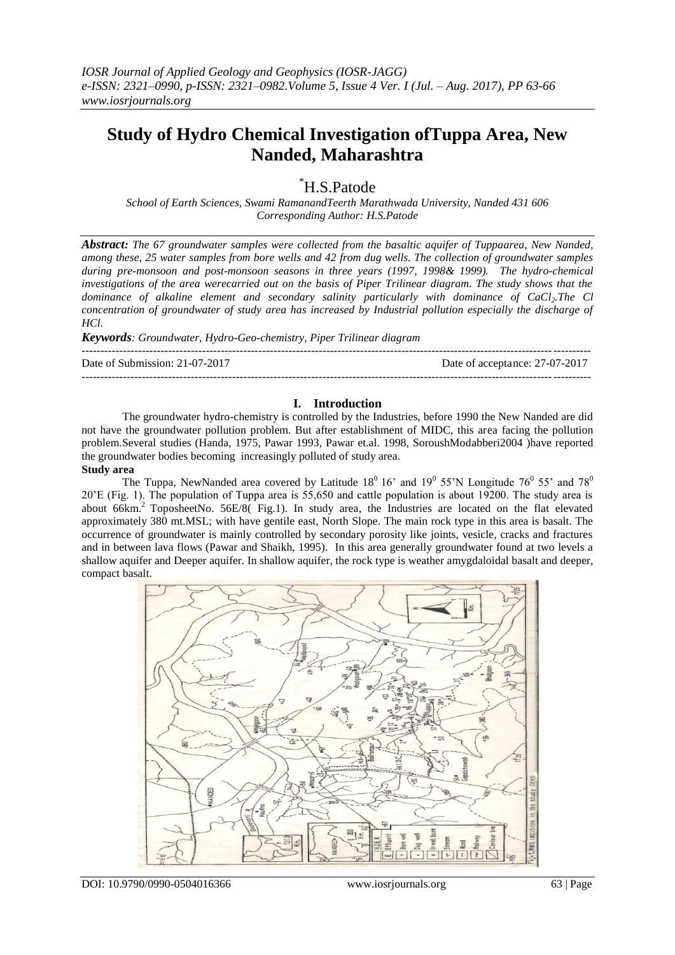# **Study of Hydro Chemical Investigation ofTuppa Area, New Nanded, Maharashtra**

\*H.S.Patode

*School of Earth Sciences, Swami RamanandTeerth Marathwada University, Nanded 431 606 Corresponding Author: H.S.Patode*

*Abstract: The 67 groundwater samples were collected from the basaltic aquifer of Tuppaarea, New Nanded, among these, 25 water samples from bore wells and 42 from dug wells. The collection of groundwater samples during pre-monsoon and post-monsoon seasons in three years (1997, 1998& 1999). The hydro-chemical investigations of the area werecarried out on the basis of Piper Trilinear diagram. The study shows that the dominance of alkaline element and secondary salinity particularly with dominance of CaCl2.The Cl concentration of groundwater of study area has increased by Industrial pollution especially the discharge of HCl.* 

*Keywords: Groundwater, Hydro-Geo-chemistry, Piper Trilinear diagram*

--------------------------------------------------------------------------------------------------------------------------------------- Date of Submission: 21-07-2017 Date of acceptance: 27-07-2017

#### **I. Introduction**

---------------------------------------------------------------------------------------------------------------------------------------

The groundwater hydro-chemistry is controlled by the Industries, before 1990 the New Nanded are did not have the groundwater pollution problem. But after establishment of MIDC, this area facing the pollution problem.Several studies (Handa, 1975, Pawar 1993, Pawar et.al. 1998, SoroushModabberi2004 )have reported the groundwater bodies becoming increasingly polluted of study area. **Study area** 

The Tuppa, NewNanded area covered by Latitude 18<sup>0</sup> 16' and 19<sup>0</sup> 55'N Longitude 76<sup>0</sup> 55' and 78<sup>0</sup> 20'E (Fig. 1). The population of Tuppa area is 55,650 and cattle population is about 19200. The study area is about 66km.<sup>2</sup> ToposheetNo. 56E/8( Fig.1). In study area, the Industries are located on the flat elevated approximately 380 mt.MSL; with have gentile east, North Slope. The main rock type in this area is basalt. The occurrence of groundwater is mainly controlled by secondary porosity like joints, vesicle, cracks and fractures and in between lava flows (Pawar and Shaikh, 1995). In this area generally groundwater found at two levels a shallow aquifer and Deeper aquifer. In shallow aquifer, the rock type is weather amygdaloidal basalt and deeper, compact basalt.



DOI: 10.9790/0990-0504016366 www.iosrjournals.org 63 | Page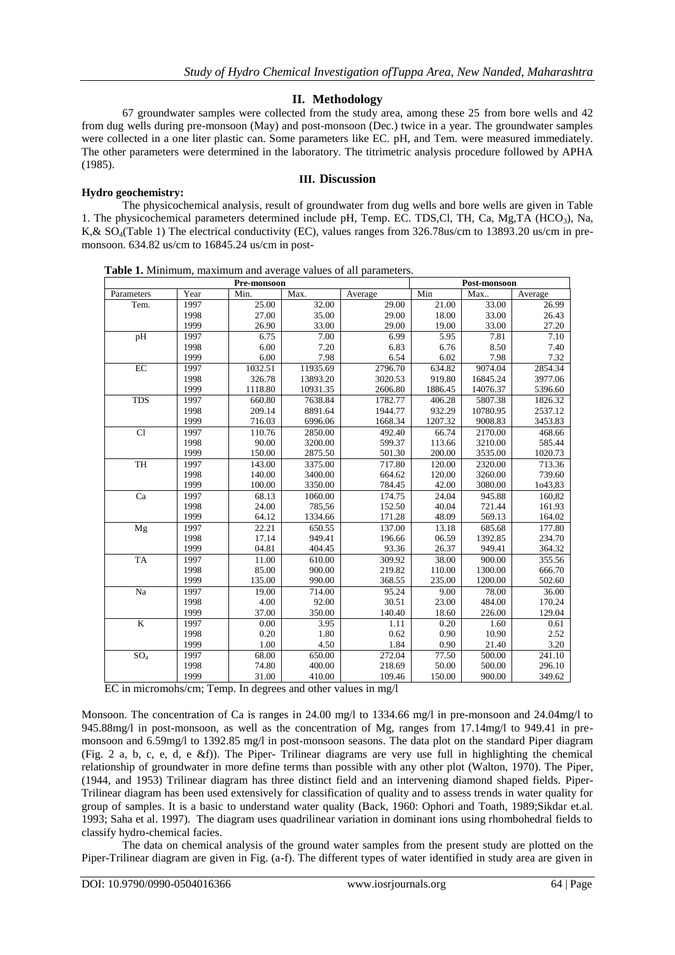## **II. Methodology**

67 groundwater samples were collected from the study area, among these 25 from bore wells and 42 from dug wells during pre-monsoon (May) and post-monsoon (Dec.) twice in a year. The groundwater samples were collected in a one liter plastic can. Some parameters like EC. pH, and Tem. were measured immediately. The other parameters were determined in the laboratory. The titrimetric analysis procedure followed by APHA (1985).

**III. Discussion**

#### **Hydro geochemistry:**

The physicochemical analysis, result of groundwater from dug wells and bore wells are given in Table 1. The physicochemical parameters determined include pH, Temp. EC. TDS,Cl, TH, Ca, Mg,TA (HCO<sub>3</sub>), Na, K,& SO4(Table 1) The electrical conductivity (EC), values ranges from 326.78us/cm to 13893.20 us/cm in premonsoon. 634.82 us/cm to 16845.24 us/cm in post-

| $\ldots$<br>10000000001<br>Pre-monsoon |      |         |          |         |            | Post-monsoon |         |  |  |
|----------------------------------------|------|---------|----------|---------|------------|--------------|---------|--|--|
| Parameters                             | Year | Min.    | Max.     | Average | Min<br>Max |              | Average |  |  |
| Tem.                                   | 1997 | 25.00   | 32.00    | 29.00   | 21.00      | 33.00        | 26.99   |  |  |
|                                        | 1998 | 27.00   | 35.00    | 29.00   | 18.00      | 33.00        | 26.43   |  |  |
|                                        | 1999 | 26.90   | 33.00    | 29.00   | 19.00      | 33.00        | 27.20   |  |  |
| pH                                     | 1997 | 6.75    | 7.00     | 6.99    | 5.95       | 7.81         | 7.10    |  |  |
|                                        | 1998 | 6.00    | 7.20     | 6.83    | 6.76       | 8.50         | 7.40    |  |  |
|                                        | 1999 | 6.00    | 7.98     | 6.54    | 6.02       | 7.98         | 7.32    |  |  |
| $\rm EC$                               | 1997 | 1032.51 | 11935.69 | 2796.70 | 634.82     | 9074.04      | 2854.34 |  |  |
|                                        | 1998 | 326.78  | 13893.20 | 3020.53 | 919.80     | 16845.24     | 3977.06 |  |  |
|                                        | 1999 | 1118.80 | 10931.35 | 2606.80 | 1886.45    | 14076.37     | 5396.60 |  |  |
| <b>TDS</b>                             | 1997 | 660.80  | 7638.84  | 1782.77 | 406.28     | 5807.38      | 1826.32 |  |  |
|                                        | 1998 | 209.14  | 8891.64  | 1944.77 | 932.29     | 10780.95     | 2537.12 |  |  |
|                                        | 1999 | 716.03  | 6996.06  | 1668.34 | 1207.32    | 9008.83      | 3453.83 |  |  |
| Cl                                     | 1997 | 110.76  | 2850.00  | 492.40  | 66.74      | 2170.00      | 468.66  |  |  |
|                                        | 1998 | 90.00   | 3200.00  | 599.37  | 113.66     | 3210.00      | 585.44  |  |  |
|                                        | 1999 | 150.00  | 2875.50  | 501.30  | 200.00     | 3535.00      | 1020.73 |  |  |
| TH                                     | 1997 | 143.00  | 3375.00  | 717.80  | 120.00     | 2320.00      | 713.36  |  |  |
|                                        | 1998 | 140.00  | 3400.00  | 664.62  | 120.00     | 3260.00      | 739.60  |  |  |
|                                        | 1999 | 100.00  | 3350.00  | 784.45  | 42.00      | 3080.00      | 1043,83 |  |  |
| Ca                                     | 1997 | 68.13   | 1060.00  | 174.75  | 24.04      | 945.88       | 160,82  |  |  |
|                                        | 1998 | 24.00   | 785,56   | 152.50  | 40.04      | 721.44       | 161.93  |  |  |
|                                        | 1999 | 64.12   | 1334.66  | 171.28  | 48.09      | 569.13       | 164.02  |  |  |
| Mg                                     | 1997 | 22.21   | 650.55   | 137.00  | 13.18      | 685.68       | 177.80  |  |  |
|                                        | 1998 | 17.14   | 949.41   | 196.66  | 06.59      | 1392.85      | 234.70  |  |  |
|                                        | 1999 | 04.81   | 404.45   | 93.36   | 26.37      | 949.41       | 364.32  |  |  |
| <b>TA</b>                              | 1997 | 11.00   | 610.00   | 309.92  | 38.00      | 900.00       | 355.56  |  |  |
|                                        | 1998 | 85.00   | 900.00   | 219.82  | 110.00     | 1300.00      | 666.70  |  |  |
|                                        | 1999 | 135.00  | 990.00   | 368.55  | 235.00     | 1200.00      | 502.60  |  |  |
| Na                                     | 1997 | 19.00   | 714.00   | 95.24   | 9.00       | 78.00        | 36.00   |  |  |
|                                        | 1998 | 4.00    | 92.00    | 30.51   | 23.00      | 484.00       | 170.24  |  |  |
|                                        | 1999 | 37.00   | 350.00   | 140.40  | 18.60      | 226.00       | 129.04  |  |  |
| $\overline{\mathbf{K}}$                | 1997 | 0.00    | 3.95     | 1.11    | 0.20       | 1.60         | 0.61    |  |  |
|                                        | 1998 | 0.20    | 1.80     | 0.62    | 0.90       | 10.90        | 2.52    |  |  |
|                                        | 1999 | 1.00    | 4.50     | 1.84    | 0.90       | 21.40        | 3.20    |  |  |
| SO <sub>4</sub>                        | 1997 | 68.00   | 650.00   | 272.04  | 77.50      | 500.00       | 241.10  |  |  |
|                                        | 1998 | 74.80   | 400.00   | 218.69  | 50.00      | 500.00       | 296.10  |  |  |
|                                        | 1999 | 31.00   | 410.00   | 109.46  | 150.00     | 900.00       | 349.62  |  |  |

 **Table 1.** Minimum, maximum and average values of all parameters.

EC in micromohs/cm; Temp. In degrees and other values in mg/l

Monsoon. The concentration of Ca is ranges in 24.00 mg/l to 1334.66 mg/l in pre-monsoon and 24.04mg/l to 945.88mg/l in post-monsoon, as well as the concentration of Mg, ranges from 17.14mg/l to 949.41 in premonsoon and 6.59mg/l to 1392.85 mg/l in post-monsoon seasons. The data plot on the standard Piper diagram (Fig. 2 a, b, c, e, d, e &f)). The Piper- Trilinear diagrams are very use full in highlighting the chemical relationship of groundwater in more define terms than possible with any other plot (Walton, 1970). The Piper, (1944, and 1953) Trilinear diagram has three distinct field and an intervening diamond shaped fields. Piper-Trilinear diagram has been used extensively for classification of quality and to assess trends in water quality for group of samples. It is a basic to understand water quality (Back, 1960: Ophori and Toath, 1989;Sikdar et.al. 1993; Saha et al. 1997). The diagram uses quadrilinear variation in dominant ions using rhombohedral fields to classify hydro-chemical facies.

The data on chemical analysis of the ground water samples from the present study are plotted on the Piper-Trilinear diagram are given in Fig. (a-f). The different types of water identified in study area are given in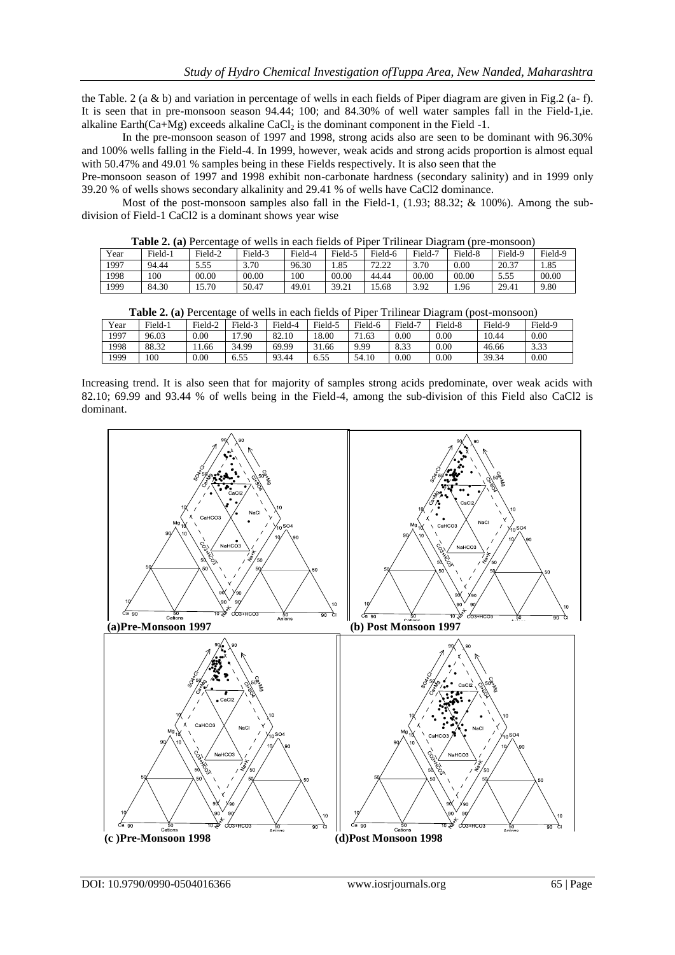the Table. 2 (a & b) and variation in percentage of wells in each fields of Piper diagram are given in Fig.2 (a- f). It is seen that in pre-monsoon season 94.44; 100; and 84.30% of well water samples fall in the Field-1,ie. alkaline Earth $(Ca+Mg)$  exceeds alkaline  $CaCl<sub>2</sub>$  is the dominant component in the Field -1.

In the pre-monsoon season of 1997 and 1998, strong acids also are seen to be dominant with 96.30% and 100% wells falling in the Field-4. In 1999, however, weak acids and strong acids proportion is almost equal with 50.47% and 49.01 % samples being in these Fields respectively. It is also seen that the

Pre-monsoon season of 1997 and 1998 exhibit non-carbonate hardness (secondary salinity) and in 1999 only 39.20 % of wells shows secondary alkalinity and 29.41 % of wells have CaCl2 dominance.

Most of the post-monsoon samples also fall in the Field-1, (1.93; 88.32; & 100%). Among the subdivision of Field-1 CaCl2 is a dominant shows year wise

**Table 2. (a)** Percentage of wells in each fields of Piper Trilinear Diagram (pre-monsoon)

|      |         |         |         | .       |         |               |         |          |         |         |
|------|---------|---------|---------|---------|---------|---------------|---------|----------|---------|---------|
| Year | Field-1 | Field-2 | Field-3 | Field-4 | Field-. | Field-6       | Field-7 | Field-8  | Field-9 | Field-9 |
| 1997 | 94.44   | 5.55    | 3.70    | 96.30   | 1.85    | 70.00<br>ے ۔۔ | 3.70    | $0.00\,$ | 20.37   | 1.85    |
| 1998 | 100     | 00.00   | 00.00   | 100     | 00.00   | 44.44         | 00.00   | 00.00    | 5.55    | 00.00   |
| 1999 | 84.30   | 15.70   | 50.47   | 49.01   | 39.21   | 15.68         | 3.92    | 1.96     | 29.41   | 9.80    |

| <b>Table 2. (a)</b> Percentage of wells in each fields of Piper Trilinear Diagram (post-monsoon) |         |         |         |         |         |         |         |         |         |         |
|--------------------------------------------------------------------------------------------------|---------|---------|---------|---------|---------|---------|---------|---------|---------|---------|
| Year                                                                                             | Field-1 | Field-2 | Field-3 | Field-4 | Field-5 | Field-6 | Field-7 | Field-8 | Field-9 | Field-9 |
| 1997                                                                                             | 96.03   | 0.00    | 7.90    | 82.10   | 18.00   | 71.63   | 0.00    | 0.00    | 10.44   | 0.00    |
| 1998                                                                                             | 88.32   | 1.66    | 34.99   | 69.99   | 31.66   | 9.99    | 8.33    | 0.00    | 46.66   | 3.33    |
| 1999                                                                                             | 100     | 0.00    | 6.55    | 93.44   | 6.55    | 54.10   | 0.00    | 0.00    | 39.34   | 0.00    |

Increasing trend. It is also seen that for majority of samples strong acids predominate, over weak acids with 82.10; 69.99 and 93.44 % of wells being in the Field-4, among the sub-division of this Field also CaCl2 is dominant.